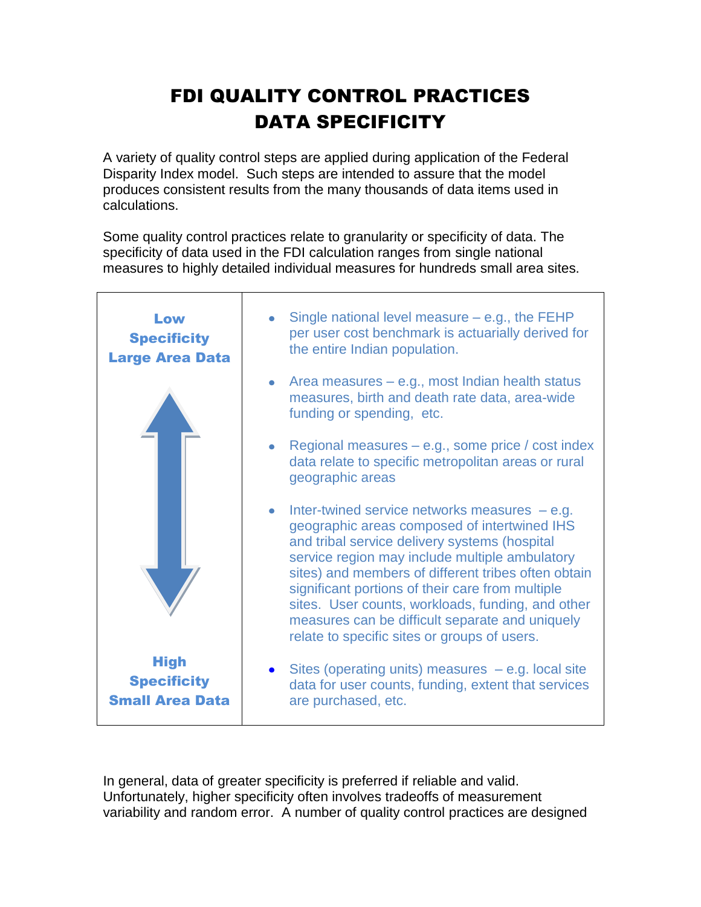## FDI QUALITY CONTROL PRACTICES DATA SPECIFICITY

A variety of quality control steps are applied during application of the Federal Disparity Index model. Such steps are intended to assure that the model produces consistent results from the many thousands of data items used in calculations.

Some quality control practices relate to granularity or specificity of data. The specificity of data used in the FDI calculation ranges from single national measures to highly detailed individual measures for hundreds small area sites.



In general, data of greater specificity is preferred if reliable and valid. Unfortunately, higher specificity often involves tradeoffs of measurement variability and random error. A number of quality control practices are designed